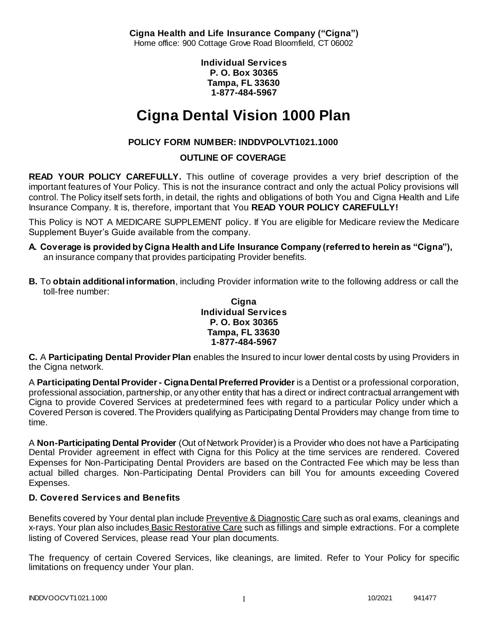**Cigna Health and Life Insurance Company ("Cigna")** Home office: 900 Cottage Grove Road Bloomfield, CT 06002

> **Individual Services P. O. Box 30365 Tampa, FL 33630 1-877-484-5967**

# **Cigna Dental Vision 1000 Plan**

# **POLICY FORM NUMBER: INDDVPOLVT1021.1000**

### **OUTLINE OF COVERAGE**

**READ YOUR POLICY CAREFULLY.** This outline of coverage provides a very brief description of the important features of Your Policy. This is not the insurance contract and only the actual Policy provisions will control. The Policy itself sets forth, in detail, the rights and obligations of both You and Cigna Health and Life Insurance Company. It is, therefore, important that You **READ YOUR POLICY CAREFULLY!** 

This Policy is NOT A MEDICARE SUPPLEMENT policy. If You are eligible for Medicare review the Medicare Supplement Buyer's Guide available from the company.

- **A. Coverage is provided by Cigna Health and Life Insurance Company (referred to herein as "Cigna"),**  an insurance company that provides participating Provider benefits.
- **B.** To **obtain additional information**, including Provider information write to the following address or call the toll-free number:

#### **Cigna Individual Services P. O. Box 30365 Tampa, FL 33630 1-877-484-5967**

**C.** A **Participating Dental Provider Plan** enables the Insured to incur lower dental costs by using Providers in the Cigna network.

A **Participating Dental Provider - Cigna Dental Preferred Provider** is a Dentist or a professional corporation, professional association, partnership, or any other entity that has a direct or indirect contractual arrangement with Cigna to provide Covered Services at predetermined fees with regard to a particular Policy under which a Covered Person is covered. The Providers qualifying as Participating Dental Providers may change from time to time.

A **Non-Participating Dental Provider** (Out of Network Provider) is a Provider who does not have a Participating Dental Provider agreement in effect with Cigna for this Policy at the time services are rendered. Covered Expenses for Non-Participating Dental Providers are based on the Contracted Fee which may be less than actual billed charges. Non-Participating Dental Providers can bill You for amounts exceeding Covered Expenses.

# **D. Covered Services and Benefits**

Benefits covered by Your dental plan include Preventive & Diagnostic Care such as oral exams, cleanings and x-rays. Your plan also includes Basic Restorative Care such as fillings and simple extractions. For a complete listing of Covered Services, please read Your plan documents.

The frequency of certain Covered Services, like cleanings, are limited. Refer to Your Policy for specific limitations on frequency under Your plan.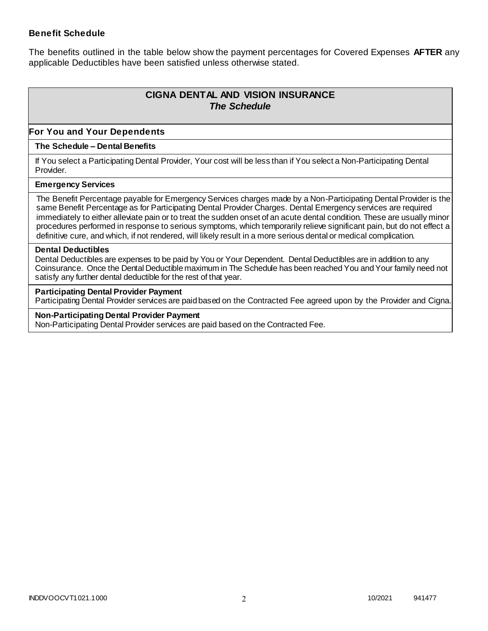### **Benefit Schedule**

The benefits outlined in the table below show the payment percentages for Covered Expenses **AFTER** any applicable Deductibles have been satisfied unless otherwise stated.

# **CIGNA DENTAL AND VISION INSURANCE** *The Schedule*

### **For You and Your Dependents**

#### **The Schedule – Dental Benefits**

If You select a Participating Dental Provider, Your cost will be less than if You select a Non-Participating Dental Provider.

#### **Emergency Services**

The Benefit Percentage payable for Emergency Services charges made by a Non-Participating Dental Provider is the same Benefit Percentage as for Participating Dental Provider Charges. Dental Emergency services are required immediately to either alleviate pain or to treat the sudden onset of an acute dental condition. These are usually minor procedures performed in response to serious symptoms, which temporarily relieve significant pain, but do not effect a definitive cure, and which, if not rendered, will likely result in a more serious dental or medical complication.

#### **Dental Deductibles**

Dental Deductibles are expenses to be paid by You or Your Dependent. Dental Deductibles are in addition to any Coinsurance. Once the Dental Deductible maximum in The Schedule has been reached You and Your family need not satisfy any further dental deductible for the rest of that year.

#### **Participating Dental Provider Payment**

Participating Dental Provider services are paid based on the Contracted Fee agreed upon by the Provider and Cigna.

**Non-Participating Dental Provider Payment** Non-Participating Dental Provider services are paid based on the Contracted Fee.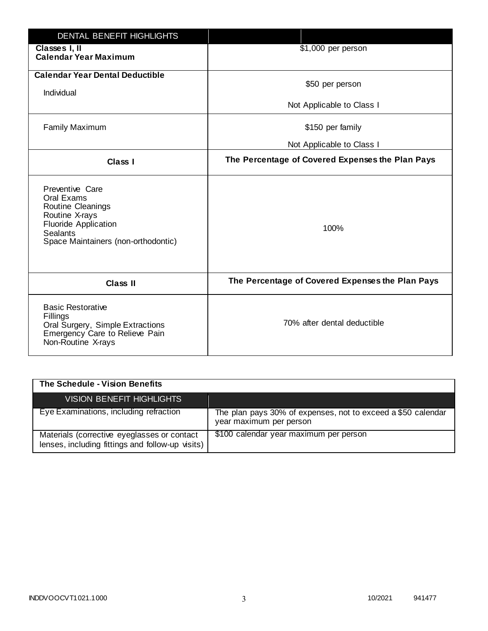| DENTAL BENEFIT HIGHLIGHTS                                                                                                                                     |                                                  |
|---------------------------------------------------------------------------------------------------------------------------------------------------------------|--------------------------------------------------|
| Classes I, II<br><b>Calendar Year Maximum</b>                                                                                                                 | \$1,000 per person                               |
| <b>Calendar Year Dental Deductible</b><br>Individual                                                                                                          | \$50 per person                                  |
|                                                                                                                                                               | Not Applicable to Class I                        |
| <b>Family Maximum</b>                                                                                                                                         | \$150 per family                                 |
|                                                                                                                                                               | Not Applicable to Class I                        |
| <b>Class I</b>                                                                                                                                                | The Percentage of Covered Expenses the Plan Pays |
| Preventive Care<br>Oral Exams<br>Routine Cleanings<br>Routine X-rays<br><b>Fluoride Application</b><br><b>Sealants</b><br>Space Maintainers (non-orthodontic) | 100%                                             |
| <b>Class II</b>                                                                                                                                               | The Percentage of Covered Expenses the Plan Pays |
| <b>Basic Restorative</b><br>Fillings<br>Oral Surgery, Simple Extractions<br>Emergency Care to Relieve Pain<br>Non-Routine X-rays                              | 70% after dental deductible                      |

| The Schedule - Vision Benefits                                                                  |                                                                                         |
|-------------------------------------------------------------------------------------------------|-----------------------------------------------------------------------------------------|
| VISION BENEFIT HIGHLIGHTS                                                                       |                                                                                         |
| Eye Examinations, including refraction                                                          | The plan pays 30% of expenses, not to exceed a \$50 calendar<br>year maximum per person |
| Materials (corrective eyeglasses or contact<br>lenses, including fittings and follow-up visits) | \$100 calendar year maximum per person                                                  |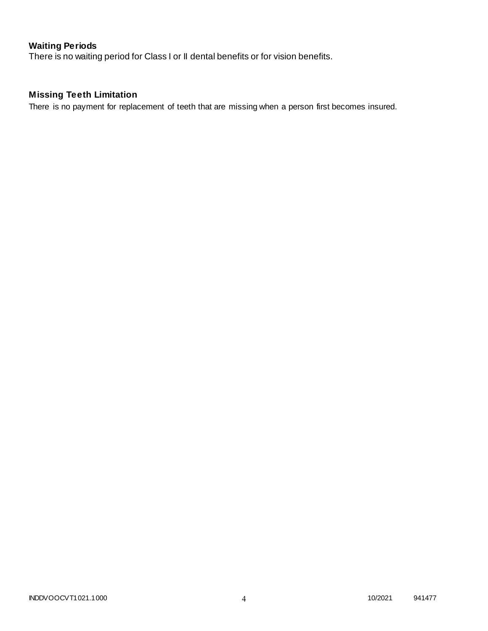# **Waiting Periods**

There is no waiting period for Class I or II dental benefits or for vision benefits.

# **Missing Teeth Limitation**

There is no payment for replacement of teeth that are missing when a person first becomes insured.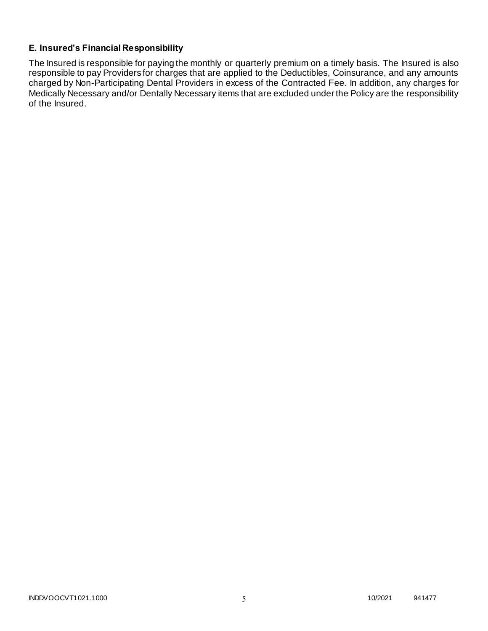### **E. Insured's Financial Responsibility**

The Insured is responsible for paying the monthly or quarterly premium on a timely basis. The Insured is also responsible to pay Providers for charges that are applied to the Deductibles, Coinsurance, and any amounts charged by Non-Participating Dental Providers in excess of the Contracted Fee. In addition, any charges for Medically Necessary and/or Dentally Necessary items that are excluded under the Policy are the responsibility of the Insured.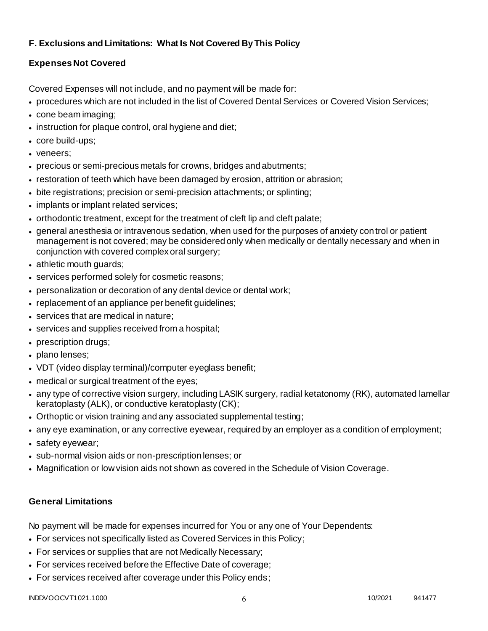## **F. Exclusions and Limitations: What Is Not Covered By This Policy**

# **Expenses Not Covered**

Covered Expenses will not include, and no payment will be made for:

- procedures which are not included in the list of Covered Dental Services or Covered Vision Services;
- cone beam imaging;
- instruction for plaque control, oral hygiene and diet;
- core build-ups;
- veneers;
- precious or semi-precious metals for crowns, bridges and abutments;
- restoration of teeth which have been damaged by erosion, attrition or abrasion;
- bite registrations; precision or semi-precision attachments; or splinting;
- implants or implant related services;
- orthodontic treatment, except for the treatment of cleft lip and cleft palate;
- general anesthesia or intravenous sedation, when used for the purposes of anxiety control or patient management is not covered; may be considered only when medically or dentally necessary and when in conjunction with covered complex oral surgery;
- athletic mouth guards;
- services performed solely for cosmetic reasons;
- personalization or decoration of any dental device or dental work;
- replacement of an appliance per benefit quidelines;
- services that are medical in nature;
- services and supplies received from a hospital;
- prescription drugs;
- plano lenses;
- VDT (video display terminal)/computer eyeglass benefit;
- medical or surgical treatment of the eyes;
- any type of corrective vision surgery, including LASIK surgery, radial ketatonomy (RK), automated lamellar keratoplasty (ALK), or conductive keratoplasty (CK);
- Orthoptic or vision training and any associated supplemental testing;
- any eye examination, or any corrective eyewear, required by an employer as a condition of employment;
- safety eyewear;
- sub-normal vision aids or non-prescription lenses; or
- Magnification or low vision aids not shown as covered in the Schedule of Vision Coverage.

# **General Limitations**

No payment will be made for expenses incurred for You or any one of Your Dependents:

- For services not specifically listed as Covered Services in this Policy;
- For services or supplies that are not Medically Necessary;
- For services received before the Effective Date of coverage;
- For services received after coverage under this Policy ends;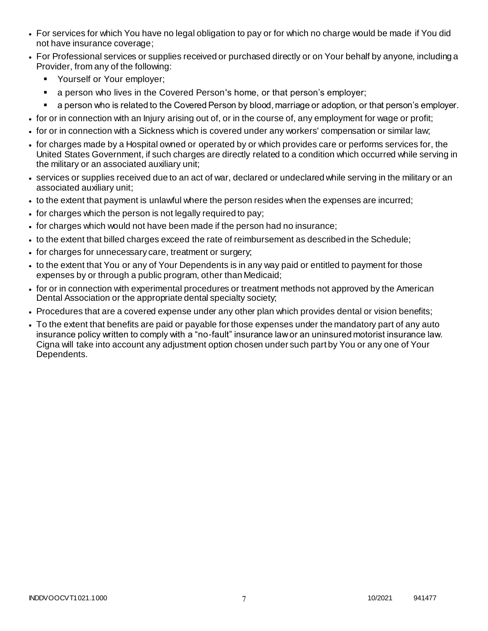- For services for which You have no legal obligation to pay or for which no charge would be made if You did not have insurance coverage;
- For Professional services or supplies received or purchased directly or on Your behalf by anyone, including a Provider, from any of the following:
	- **Yourself or Your employer;**
	- **a** person who lives in the Covered Person's home, or that person's employer;
	- a person who is related to the Covered Person by blood, marriage or adoption, or that person's employer.
- for or in connection with an Injury arising out of, or in the course of, any employment for wage or profit;
- for or in connection with a Sickness which is covered under any workers' compensation or similar law;
- for charges made by a Hospital owned or operated by or which provides care or performs services for, the United States Government, if such charges are directly related to a condition which occurred while serving in the military or an associated auxiliary unit;
- services or supplies received due to an act of war, declared or undeclared while serving in the military or an associated auxiliary unit;
- to the extent that payment is unlawful where the person resides when the expenses are incurred;
- for charges which the person is not legally required to pay;
- for charges which would not have been made if the person had no insurance;
- to the extent that billed charges exceed the rate of reimbursement as described in the Schedule;
- for charges for unnecessary care, treatment or surgery;
- to the extent that You or any of Your Dependents is in any way paid or entitled to payment for those expenses by or through a public program, other than Medicaid;
- for or in connection with experimental procedures or treatment methods not approved by the American Dental Association or the appropriate dental specialty society;
- Procedures that are a covered expense under any other plan which provides dental or vision benefits;
- To the extent that benefits are paid or payable for those expenses under the mandatory part of any auto insurance policy written to comply with a "no-fault" insurance law or an uninsured motorist insurance law. Cigna will take into account any adjustment option chosen under such part by You or any one of Your Dependents.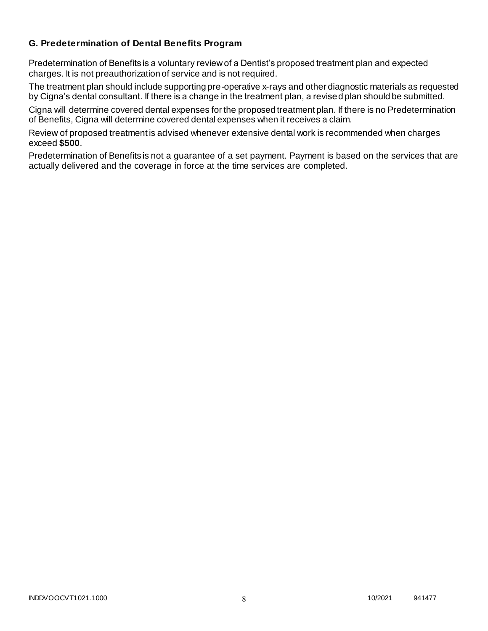### **G. Predetermination of Dental Benefits Program**

Predetermination of Benefits is a voluntary review of a Dentist's proposed treatment plan and expected charges. It is not preauthorization of service and is not required.

The treatment plan should include supporting pre-operative x-rays and other diagnostic materials as requested by Cigna's dental consultant. If there is a change in the treatment plan, a revised plan should be submitted.

Cigna will determine covered dental expenses for the proposed treatment plan. If there is no Predetermination of Benefits, Cigna will determine covered dental expenses when it receives a claim.

Review of proposed treatment is advised whenever extensive dental work is recommended when charges exceed **\$500**.

Predetermination of Benefits is not a guarantee of a set payment. Payment is based on the services that are actually delivered and the coverage in force at the time services are completed.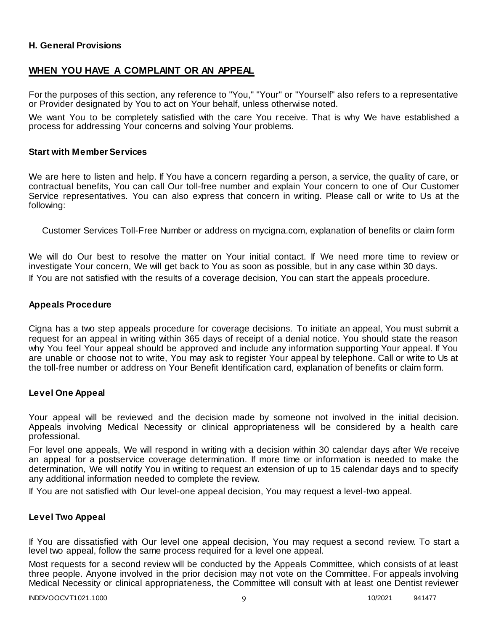### **H. General Provisions**

### **WHEN YOU HAVE A COMPLAINT OR AN APPEAL**

For the purposes of this section, any reference to "You," "Your" or "Yourself" also refers to a representative or Provider designated by You to act on Your behalf, unless otherwise noted.

We want You to be completely satisfied with the care You receive. That is why We have established a process for addressing Your concerns and solving Your problems.

#### **Start with Member Services**

We are here to listen and help. If You have a concern regarding a person, a service, the quality of care, or contractual benefits, You can call Our toll-free number and explain Your concern to one of Our Customer Service representatives. You can also express that concern in writing. Please call or write to Us at the following:

Customer Services Toll-Free Number or address on mycigna.com, explanation of benefits or claim form

We will do Our best to resolve the matter on Your initial contact. If We need more time to review or investigate Your concern, We will get back to You as soon as possible, but in any case within 30 days. If You are not satisfied with the results of a coverage decision, You can start the appeals procedure.

#### **Appeals Procedure**

Cigna has a two step appeals procedure for coverage decisions. To initiate an appeal, You must submit a request for an appeal in writing within 365 days of receipt of a denial notice. You should state the reason why You feel Your appeal should be approved and include any information supporting Your appeal. If You are unable or choose not to write, You may ask to register Your appeal by telephone. Call or write to Us at the toll-free number or address on Your Benefit Identification card, explanation of benefits or claim form.

#### **Level One Appeal**

Your appeal will be reviewed and the decision made by someone not involved in the initial decision. Appeals involving Medical Necessity or clinical appropriateness will be considered by a health care professional.

For level one appeals, We will respond in writing with a decision within 30 calendar days after We receive an appeal for a postservice coverage determination. If more time or information is needed to make the determination, We will notify You in writing to request an extension of up to 15 calendar days and to specify any additional information needed to complete the review.

If You are not satisfied with Our level-one appeal decision, You may request a level-two appeal.

#### **Level Two Appeal**

If You are dissatisfied with Our level one appeal decision, You may request a second review. To start a level two appeal, follow the same process required for a level one appeal.

Most requests for a second review will be conducted by the Appeals Committee, which consists of at least three people. Anyone involved in the prior decision may not vote on the Committee. For appeals involving Medical Necessity or clinical appropriateness, the Committee will consult with at least one Dentist reviewer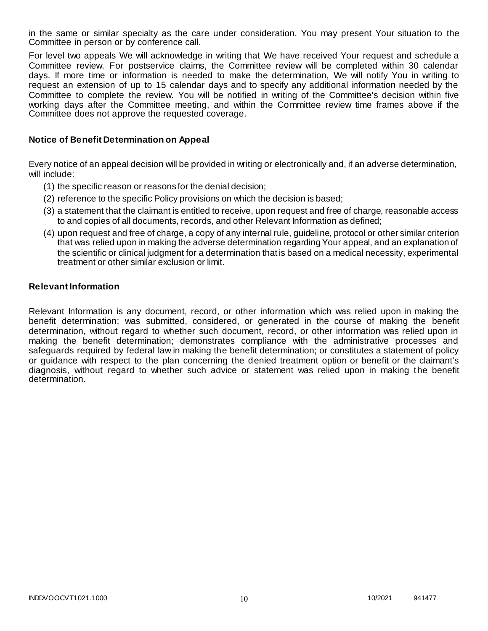in the same or similar specialty as the care under consideration. You may present Your situation to the Committee in person or by conference call.

For level two appeals We will acknowledge in writing that We have received Your request and schedule a Committee review. For postservice claims, the Committee review will be completed within 30 calendar days. If more time or information is needed to make the determination, We will notify You in writing to request an extension of up to 15 calendar days and to specify any additional information needed by the Committee to complete the review. You will be notified in writing of the Committee's decision within five working days after the Committee meeting, and within the Committee review time frames above if the Committee does not approve the requested coverage.

#### **Notice of Benefit Determination on Appeal**

Every notice of an appeal decision will be provided in writing or electronically and, if an adverse determination, will include:

- (1) the specific reason or reasons for the denial decision;
- (2) reference to the specific Policy provisions on which the decision is based;
- (3) a statement that the claimant is entitled to receive, upon request and free of charge, reasonable access to and copies of all documents, records, and other Relevant Information as defined;
- (4) upon request and free of charge, a copy of any internal rule, guideline, protocol or other similar criterion that was relied upon in making the adverse determination regarding Your appeal, and an explanation of the scientific or clinical judgment for a determination that is based on a medical necessity, experimental treatment or other similar exclusion or limit.

#### **Relevant Information**

Relevant Information is any document, record, or other information which was relied upon in making the benefit determination; was submitted, considered, or generated in the course of making the benefit determination, without regard to whether such document, record, or other information was relied upon in making the benefit determination; demonstrates compliance with the administrative processes and safeguards required by federal law in making the benefit determination; or constitutes a statement of policy or guidance with respect to the plan concerning the denied treatment option or benefit or the claimant's diagnosis, without regard to whether such advice or statement was relied upon in making the benefit determination.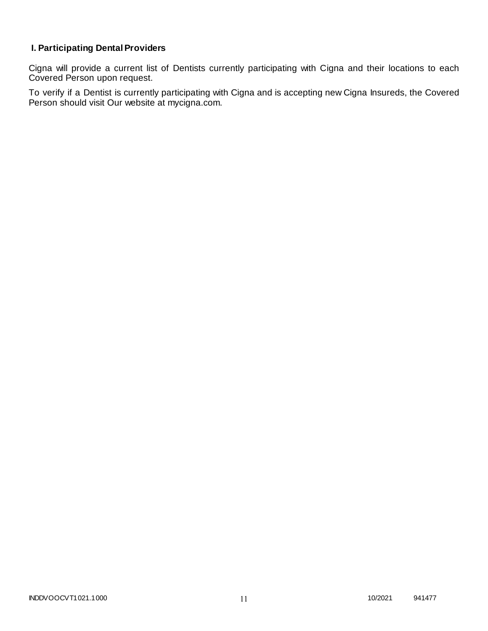# **I. Participating Dental Providers**

Cigna will provide a current list of Dentists currently participating with Cigna and their locations to each Covered Person upon request.

To verify if a Dentist is currently participating with Cigna and is accepting new Cigna Insureds, the Covered Person should visit Our website at mycigna.com.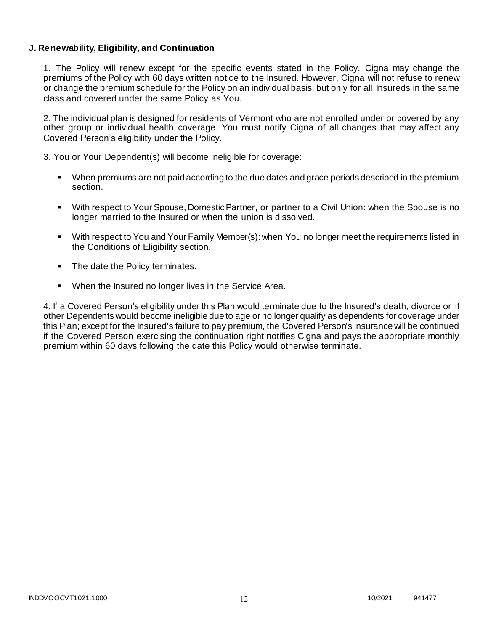### **J. Renewability, Eligibility, and Continuation**

1. The Policy will renew except for the specific events stated in the Policy. Cigna may change the premiums of the Policy with 60 days written notice to the Insured. However, Cigna will not refuse to renew or change the premium schedule for the Policy on an individual basis, but only for all Insureds in the same class and covered under the same Policy as You.

2. The individual plan is designed for residents of Vermont who are not enrolled under or covered by any other group or individual health coverage. You must notify Cigna of all changes that may affect any Covered Person's eligibility under the Policy.

3. You or Your Dependent(s) will become ineligible for coverage:

- When premiums are not paid according to the due dates and grace periods described in the premium section.
- With respect to Your Spouse, Domestic Partner, or partner to a Civil Union: when the Spouse is no longer married to the Insured or when the union is dissolved.
- With respect to You and Your Family Member(s): when You no longer meet the requirements listed in the Conditions of Eligibility section.
- The date the Policy terminates.
- When the Insured no longer lives in the Service Area.

4. If a Covered Person's eligibility under this Plan would terminate due to the Insured's death, divorce or if other Dependents would become ineligible due to age or no longer qualify as dependents for coverage under this Plan; except for the Insured's failure to pay premium, the Covered Person's insurance will be continued if the Covered Person exercising the continuation right notifies Cigna and pays the appropriate monthly premium within 60 days following the date this Policy would otherwise terminate.